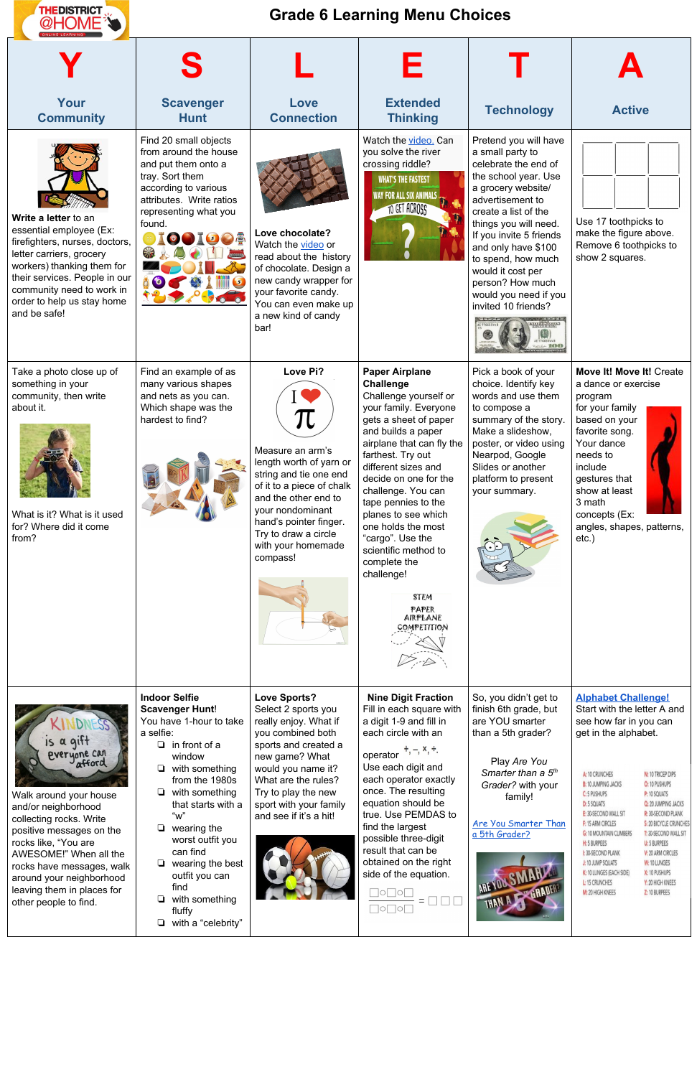

## **Grade 6 Learning Menu Choices**

| Your<br><b>Community</b>                                                                                                                                                                                                                                | <b>Scavenger</b><br><b>Hunt</b>                                                                                                                                                                                                                                                                    | Love<br><b>Connection</b>                                                                                                                                                                                                                                  | <b>Extended</b><br><b>Thinking</b>                                                                                                                                                                                                                                                                                                                                                                                                                                  | <b>Technology</b>                                                                                                                                                                                                                                                                                                                                     | <b>Active</b>                                                                                                                                                                                                                                                                                                                                                                                                                                                                                                                                                                                                                                                                        |
|---------------------------------------------------------------------------------------------------------------------------------------------------------------------------------------------------------------------------------------------------------|----------------------------------------------------------------------------------------------------------------------------------------------------------------------------------------------------------------------------------------------------------------------------------------------------|------------------------------------------------------------------------------------------------------------------------------------------------------------------------------------------------------------------------------------------------------------|---------------------------------------------------------------------------------------------------------------------------------------------------------------------------------------------------------------------------------------------------------------------------------------------------------------------------------------------------------------------------------------------------------------------------------------------------------------------|-------------------------------------------------------------------------------------------------------------------------------------------------------------------------------------------------------------------------------------------------------------------------------------------------------------------------------------------------------|--------------------------------------------------------------------------------------------------------------------------------------------------------------------------------------------------------------------------------------------------------------------------------------------------------------------------------------------------------------------------------------------------------------------------------------------------------------------------------------------------------------------------------------------------------------------------------------------------------------------------------------------------------------------------------------|
| Write a letter to an<br>essential employee (Ex:<br>firefighters, nurses, doctors,<br>letter carriers, grocery<br>workers) thanking them for<br>their services. People in our<br>community need to work in<br>order to help us stay home<br>and be safe! | Find 20 small objects<br>from around the house<br>and put them onto a<br>tray. Sort them<br>according to various<br>attributes. Write ratios<br>representing what you<br>found.<br><b>OOICO</b><br>S<br>60                                                                                         | Love chocolate?<br>Watch the video or<br>read about the history<br>of chocolate. Design a<br>new candy wrapper for<br>your favorite candy.<br>You can even make up<br>a new kind of candy<br>bar!                                                          | Watch the video. Can<br>you solve the river<br>crossing riddle?<br><b>WHAT'S THE FASTEST</b><br><b>WAY FOR ALL SIX ANIMALS</b><br>TO GET ACROSS                                                                                                                                                                                                                                                                                                                     | Pretend you will have<br>a small party to<br>celebrate the end of<br>the school year. Use<br>a grocery website/<br>advertisement to<br>create a list of the<br>things you will need.<br>If you invite 5 friends<br>and only have \$100<br>to spend, how much<br>would it cost per<br>person? How much<br>would you need if you<br>invited 10 friends? | Use 17 toothpicks to<br>make the figure above.<br>Remove 6 toothpicks to<br>show 2 squares.                                                                                                                                                                                                                                                                                                                                                                                                                                                                                                                                                                                          |
| Take a photo close up of<br>something in your<br>community, then write<br>about it.<br>What is it? What is it used<br>for? Where did it come<br>from?                                                                                                   | Find an example of as<br>many various shapes<br>and nets as you can.<br>Which shape was the<br>hardest to find?                                                                                                                                                                                    | Love Pi?<br>Measure an arm's<br>length worth of yarn or<br>string and tie one end<br>of it to a piece of chalk<br>and the other end to<br>your nondominant<br>hand's pointer finger.<br>Try to draw a circle<br>with your homemade<br>compass!             | <b>Paper Airplane</b><br><b>Challenge</b><br>Challenge yourself or<br>your family. Everyone<br>gets a sheet of paper<br>and builds a paper<br>airplane that can fly the<br>farthest. Try out<br>different sizes and<br>decide on one for the<br>challenge. You can<br>tape pennies to the<br>planes to see which<br>one holds the most<br>"cargo". Use the<br>scientific method to<br>complete the<br>challenge!<br><b>STEM</b><br>PAPER<br>AIRPLANE<br>COMPETITION | Pick a book of your<br>choice. Identify key<br>words and use them<br>to compose a<br>summary of the story.<br>Make a slideshow.<br>poster, or video using<br>Nearpod, Google<br>Slides or another<br>platform to present<br>your summary.                                                                                                             | Move It! Move It! Create<br>a dance or exercise<br>program<br>for your family<br>based on your<br>favorite song.<br>Your dance<br>needs to<br>include<br>gestures that<br>show at least<br>3 math<br>concepts (Ex:<br>angles, shapes, patterns,<br>$etc.$ )                                                                                                                                                                                                                                                                                                                                                                                                                          |
| is a gift<br>everyone can<br>Walk around your house<br>and/or neighborhood<br>collecting rocks. Write<br>positive messages on the<br>rocks like, "You are<br>AWESOME!" When all the<br>rocks have messages, walk                                        | <b>Indoor Selfie</b><br><b>Scavenger Hunt!</b><br>You have 1-hour to take<br>a selfie:<br>$\Box$ in front of a<br>window<br>with something<br>from the 1980s<br>$\Box$ with something<br>that starts with a<br>"w"<br>$\Box$ wearing the<br>worst outfit you<br>can find<br>wearing the best<br>❏. | <b>Love Sports?</b><br>Select 2 sports you<br>really enjoy. What if<br>you combined both<br>sports and created a<br>new game? What<br>would you name it?<br>What are the rules?<br>Try to play the new<br>sport with your family<br>and see if it's a hit! | <b>Nine Digit Fraction</b><br>Fill in each square with<br>a digit 1-9 and fill in<br>each circle with an<br>$+, -, x, \div.$<br>operator<br>Use each digit and<br>each operator exactly<br>once. The resulting<br>equation should be<br>true. Use PEMDAS to<br>find the largest<br>possible three-digit<br>result that can be<br>obtained on the right                                                                                                              | So, you didn't get to<br>finish 6th grade, but<br>are YOU smarter<br>than a 5th grader?<br>Play Are You<br>Smarter than a 5 <sup>th</sup><br>Grader? with your<br>family!<br>Are You Smarter Than<br>a 5th Grader?                                                                                                                                    | <b>Alphabet Challenge!</b><br>Start with the letter A and<br>see how far in you can<br>get in the alphabet.<br>A: 10 CRUNCHES<br>N: 10 TRICEP DIPS<br>O: 10 PUSHUPS<br><b>B: 10 JUMPING JACKS</b><br>P: 10 SQUATS<br>C: 5 PUSHUPS<br><b>D: 5 SQUATS</b><br>Q: 20 JUMPING JACKS<br><b>E: 30-SECOND WALL SIT</b><br><b>R: 30-SECOND PLANK</b><br>F: 15 ARM CIRCLES<br><b>S: 20 BICYCLE CRUNCHES</b><br><b>G: 10 MOUNTAIN CLIMBERS</b><br><b>T: 30-SECOND WALL SIT</b><br>H: 5 BURPEES<br><b>U: 5 BURPEES</b><br>I: 30-SECOND PLANK<br>V: 20 ARM CIRCLES<br>J: 10 JUMP SQUATS<br>W: 10 LUNGES<br>K: 10 LUNGES (EACH SIDE)<br>X: 10 PUSHUPS<br><b>L: 15 CRUNCHES</b><br>Y: 20 HIGH KNEES |
|                                                                                                                                                                                                                                                         | around your neighborhood<br>leaving them in places for<br>other needle to find                                                                                                                                                                                                                     | outfit you can<br>find<br>$\Box$ with something                                                                                                                                                                                                            |                                                                                                                                                                                                                                                                                                                                                                                                                                                                     | side of the equation.<br>$\hfill\Box\circ\Box\circ\Box$                                                                                                                                                                                                                                                                                               | AREVOX SMAIL                                                                                                                                                                                                                                                                                                                                                                                                                                                                                                                                                                                                                                                                         |

other people to find.

- 
- 
- 
- ❏ with something fluffy
- ❏ with a "celebrity"
-